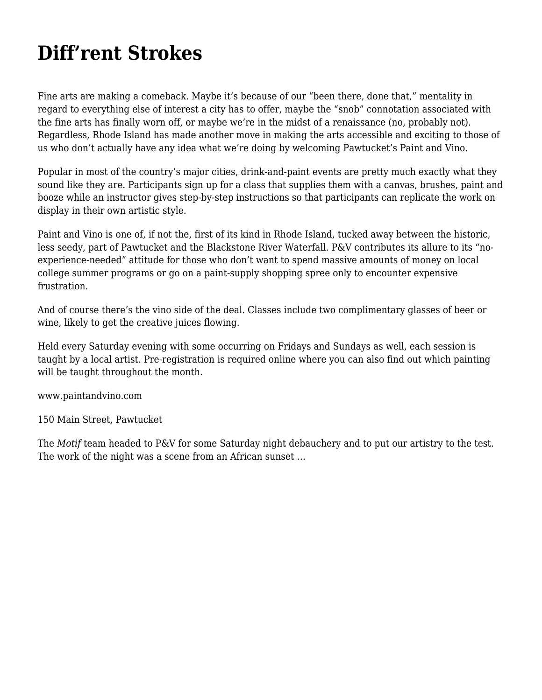## **[Diff'rent Strokes](https://motifri.com/diffrent-strokes/)**

Fine arts are making a comeback. Maybe it's because of our "been there, done that," mentality in regard to everything else of interest a city has to offer, maybe the "snob" connotation associated with the fine arts has finally worn off, or maybe we're in the midst of a renaissance (no, probably not). Regardless, Rhode Island has made another move in making the arts accessible and exciting to those of us who don't actually have any idea what we're doing by welcoming Pawtucket's Paint and Vino.

Popular in most of the country's major cities, drink-and-paint events are pretty much exactly what they sound like they are. Participants sign up for a class that supplies them with a canvas, brushes, paint and booze while an instructor gives step-by-step instructions so that participants can replicate the work on display in their own artistic style.

Paint and Vino is one of, if not the, first of its kind in Rhode Island, tucked away between the historic, less seedy, part of Pawtucket and the Blackstone River Waterfall. P&V contributes its allure to its "noexperience-needed" attitude for those who don't want to spend massive amounts of money on local college summer programs or go on a paint-supply shopping spree only to encounter expensive frustration.

And of course there's the vino side of the deal. Classes include two complimentary glasses of beer or wine, likely to get the creative juices flowing.

Held every Saturday evening with some occurring on Fridays and Sundays as well, each session is taught by a local artist. Pre-registration is required online where you can also find out which painting will be taught throughout the month.

www.paintandvino.com

150 Main Street, Pawtucket

The *Motif* team headed to P&V for some Saturday night debauchery and to put our artistry to the test. The work of the night was a scene from an African sunset …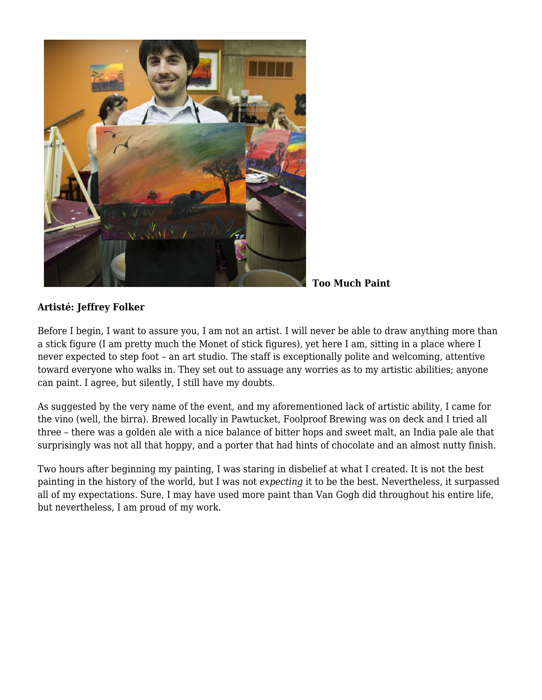

**Too Much Paint**

## **Artisté: Jeffrey Folker**

Before I begin, I want to assure you, I am not an artist. I will never be able to draw anything more than a stick figure (I am pretty much the Monet of stick figures), yet here I am, sitting in a place where I never expected to step foot – an art studio. The staff is exceptionally polite and welcoming, attentive toward everyone who walks in. They set out to assuage any worries as to my artistic abilities; anyone can paint. I agree, but silently, I still have my doubts.

As suggested by the very name of the event, and my aforementioned lack of artistic ability, I came for the vino (well, the birra). Brewed locally in Pawtucket, Foolproof Brewing was on deck and I tried all three – there was a golden ale with a nice balance of bitter hops and sweet malt, an India pale ale that surprisingly was not all that hoppy, and a porter that had hints of chocolate and an almost nutty finish.

Two hours after beginning my painting, I was staring in disbelief at what I created. It is not the best painting in the history of the world, but I was not *expecting* it to be the best. Nevertheless, it surpassed all of my expectations. Sure, I may have used more paint than Van Gogh did throughout his entire life, but nevertheless, I am proud of my work.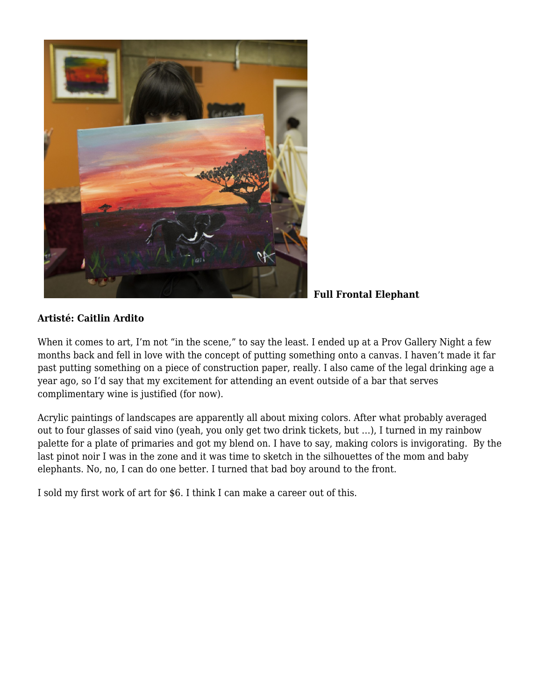

**Full Frontal Elephant**

## **Artisté: Caitlin Ardito**

When it comes to art, I'm not "in the scene," to say the least. I ended up at a Prov Gallery Night a few months back and fell in love with the concept of putting something onto a canvas. I haven't made it far past putting something on a piece of construction paper, really. I also came of the legal drinking age a year ago, so I'd say that my excitement for attending an event outside of a bar that serves complimentary wine is justified (for now).

Acrylic paintings of landscapes are apparently all about mixing colors. After what probably averaged out to four glasses of said vino (yeah, you only get two drink tickets, but …), I turned in my rainbow palette for a plate of primaries and got my blend on. I have to say, making colors is invigorating. By the last pinot noir I was in the zone and it was time to sketch in the silhouettes of the mom and baby elephants. No, no, I can do one better. I turned that bad boy around to the front.

I sold my first work of art for \$6. I think I can make a career out of this.